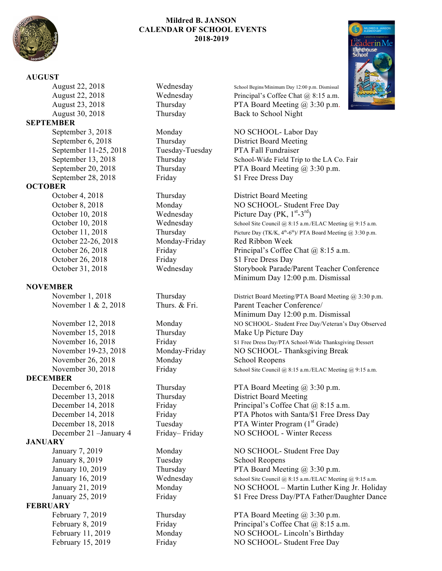

## **Mildred B. JANSON CALENDAR OF SCHOOL EVENTS 2018-2019**

## **AUGUST**

August 30, 2018 Thursday Back to School Night **SEPTEMBER** September 11-25, 2018 Tuesday-Tuesday PTA Fall Fundraiser September 28, 2018 Friday \$1 Free Dress Day **OCTOBER** October 4, 2018 Thursday District Board Meeting October 22-26, 2018 Monday-Friday Red Ribbon Week October 26, 2018 Friday \$1 Free Dress Day **NOVEMBER** November 15, 2018 Thursday Make Up Picture Day November 26, 2018 Monday School Reopens **DECEMBER** December 13, 2018 Thursday District Board Meeting **JANUARY** January 8, 2019 Tuesday School Reopens **FEBRUARY**

August 22, 2018 Wednesday School Begins/Minimum Day 12:00 p.m. Dismissal August 22, 2018 Wednesday Principal's Coffee Chat @ 8:15 a.m. August 23, 2018 Thursday PTA Board Meeting @ 3:30 p.m.

September 3, 2018 Monday NO SCHOOL- Labor Day September 6, 2018 Thursday District Board Meeting September 13, 2018 Thursday School-Wide Field Trip to the LA Co. Fair September 20, 2018 Thursday PTA Board Meeting @ 3:30 p.m.

October 8, 2018 Monday NO SCHOOL- Student Free Day October 10, 2018 Wednesday Picture Day (PK, 1<sup>st</sup>-3<sup>rd</sup>) October 10, 2018 Wednesday School Site Council @ 8:15 a.m./ELAC Meeting @ 9:15 a.m. October 11, 2018 Thursday Picture Day (TK/K,  $4<sup>th</sup>-6<sup>th</sup>$ )/ PTA Board Meeting @ 3:30 p.m. October 26, 2018 Friday Principal's Coffee Chat @ 8:15 a.m. October 31, 2018 Wednesday Storybook Parade/Parent Teacher Conference Minimum Day 12:00 p.m. Dismissal

November 1, 2018 Thursday District Board Meeting/PTA Board Meeting @ 3:30 p.m. November 1 & 2, 2018 Thurs. & Fri. Parent Teacher Conference/ Minimum Day 12:00 p.m. Dismissal November 12, 2018 Monday Monday NO SCHOOL- Student Free Day/Veteran's Day Observed November 16, 2018 Friday Finday \$1 Free Dress Day/PTA School-Wide Thanksgiving Dessert November 19-23, 2018 Monday-Friday NO SCHOOL- Thanksgiving Break November 30, 2018 Friday School Site Council @ 8:15 a.m./ELAC Meeting @ 9:15 a.m.

December 6, 2018 Thursday PTA Board Meeting @ 3:30 p.m. December 14, 2018 Friday Principal's Coffee Chat @ 8:15 a.m. December 14, 2018 Friday Friday PTA Photos with Santa/\$1 Free Dress Day December 18, 2018 Tuesday PTA Winter Program (1<sup>st</sup> Grade) December 21 –January 4 Friday– Friday NO SCHOOL - Winter Recess

January 7, 2019 Monday NO SCHOOL- Student Free Day January 10, 2019 Thursday PTA Board Meeting  $\omega$  3:30 p.m. January 16, 2019 Wednesday School Site Council @ 8:15 a.m./ELAC Meeting @ 9:15 a.m. January 21, 2019 Monday Monday NO SCHOOL – Martin Luther King Jr. Holiday January 25, 2019 Friday 51 Free Dress Day/PTA Father/Daughter Dance

February 7, 2019 Thursday PTA Board Meeting @ 3:30 p.m. February 8, 2019 Friday Principal's Coffee Chat @ 8:15 a.m. February 11, 2019 Monday NO SCHOOL- Lincoln's Birthday February 15, 2019 Friday NO SCHOOL- Student Free Day